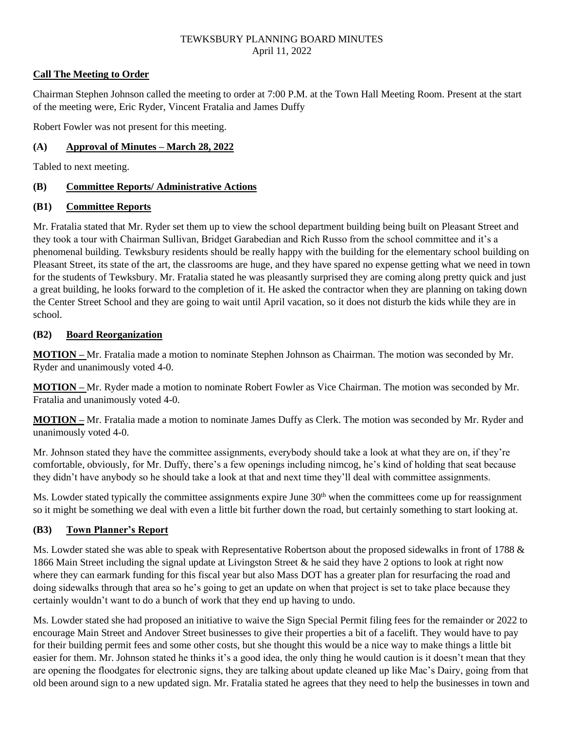## **Call The Meeting to Order**

Chairman Stephen Johnson called the meeting to order at 7:00 P.M. at the Town Hall Meeting Room. Present at the start of the meeting were, Eric Ryder, Vincent Fratalia and James Duffy

Robert Fowler was not present for this meeting.

# **(A) Approval of Minutes – March 28, 2022**

Tabled to next meeting.

## **(B) Committee Reports/ Administrative Actions**

## **(B1) Committee Reports**

Mr. Fratalia stated that Mr. Ryder set them up to view the school department building being built on Pleasant Street and they took a tour with Chairman Sullivan, Bridget Garabedian and Rich Russo from the school committee and it's a phenomenal building. Tewksbury residents should be really happy with the building for the elementary school building on Pleasant Street, its state of the art, the classrooms are huge, and they have spared no expense getting what we need in town for the students of Tewksbury. Mr. Fratalia stated he was pleasantly surprised they are coming along pretty quick and just a great building, he looks forward to the completion of it. He asked the contractor when they are planning on taking down the Center Street School and they are going to wait until April vacation, so it does not disturb the kids while they are in school.

# **(B2) Board Reorganization**

**MOTION –** Mr. Fratalia made a motion to nominate Stephen Johnson as Chairman. The motion was seconded by Mr. Ryder and unanimously voted 4-0.

**MOTION –** Mr. Ryder made a motion to nominate Robert Fowler as Vice Chairman. The motion was seconded by Mr. Fratalia and unanimously voted 4-0.

**MOTION –** Mr. Fratalia made a motion to nominate James Duffy as Clerk. The motion was seconded by Mr. Ryder and unanimously voted 4-0.

Mr. Johnson stated they have the committee assignments, everybody should take a look at what they are on, if they're comfortable, obviously, for Mr. Duffy, there's a few openings including nimcog, he's kind of holding that seat because they didn't have anybody so he should take a look at that and next time they'll deal with committee assignments.

Ms. Lowder stated typically the committee assignments expire June 30<sup>th</sup> when the committees come up for reassignment so it might be something we deal with even a little bit further down the road, but certainly something to start looking at.

# **(B3) Town Planner's Report**

Ms. Lowder stated she was able to speak with Representative Robertson about the proposed sidewalks in front of 1788 & 1866 Main Street including the signal update at Livingston Street & he said they have 2 options to look at right now where they can earmark funding for this fiscal year but also Mass DOT has a greater plan for resurfacing the road and doing sidewalks through that area so he's going to get an update on when that project is set to take place because they certainly wouldn't want to do a bunch of work that they end up having to undo.

Ms. Lowder stated she had proposed an initiative to waive the Sign Special Permit filing fees for the remainder or 2022 to encourage Main Street and Andover Street businesses to give their properties a bit of a facelift. They would have to pay for their building permit fees and some other costs, but she thought this would be a nice way to make things a little bit easier for them. Mr. Johnson stated he thinks it's a good idea, the only thing he would caution is it doesn't mean that they are opening the floodgates for electronic signs, they are talking about update cleaned up like Mac's Dairy, going from that old been around sign to a new updated sign. Mr. Fratalia stated he agrees that they need to help the businesses in town and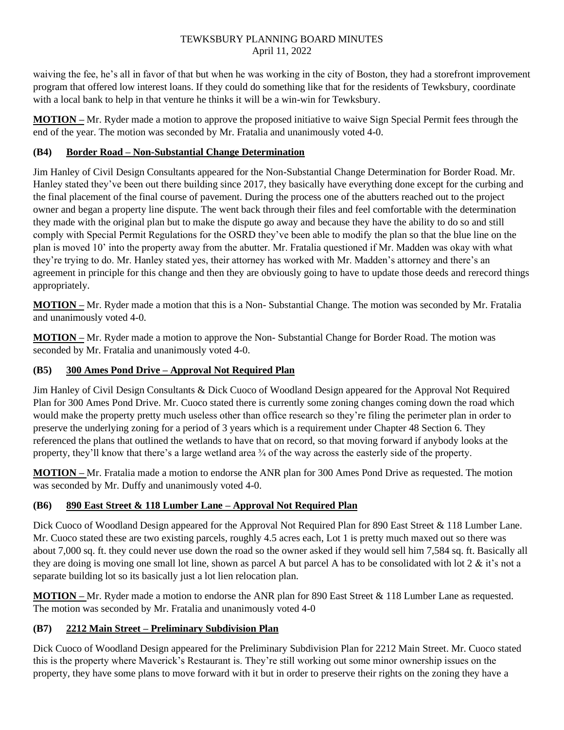waiving the fee, he's all in favor of that but when he was working in the city of Boston, they had a storefront improvement program that offered low interest loans. If they could do something like that for the residents of Tewksbury, coordinate with a local bank to help in that venture he thinks it will be a win-win for Tewksbury.

**MOTION –** Mr. Ryder made a motion to approve the proposed initiative to waive Sign Special Permit fees through the end of the year. The motion was seconded by Mr. Fratalia and unanimously voted 4-0.

# **(B4) Border Road – Non-Substantial Change Determination**

Jim Hanley of Civil Design Consultants appeared for the Non-Substantial Change Determination for Border Road. Mr. Hanley stated they've been out there building since 2017, they basically have everything done except for the curbing and the final placement of the final course of pavement. During the process one of the abutters reached out to the project owner and began a property line dispute. The went back through their files and feel comfortable with the determination they made with the original plan but to make the dispute go away and because they have the ability to do so and still comply with Special Permit Regulations for the OSRD they've been able to modify the plan so that the blue line on the plan is moved 10' into the property away from the abutter. Mr. Fratalia questioned if Mr. Madden was okay with what they're trying to do. Mr. Hanley stated yes, their attorney has worked with Mr. Madden's attorney and there's an agreement in principle for this change and then they are obviously going to have to update those deeds and rerecord things appropriately.

**MOTION –** Mr. Ryder made a motion that this is a Non- Substantial Change. The motion was seconded by Mr. Fratalia and unanimously voted 4-0.

**MOTION –** Mr. Ryder made a motion to approve the Non- Substantial Change for Border Road. The motion was seconded by Mr. Fratalia and unanimously voted 4-0.

# **(B5) 300 Ames Pond Drive – Approval Not Required Plan**

Jim Hanley of Civil Design Consultants & Dick Cuoco of Woodland Design appeared for the Approval Not Required Plan for 300 Ames Pond Drive. Mr. Cuoco stated there is currently some zoning changes coming down the road which would make the property pretty much useless other than office research so they're filing the perimeter plan in order to preserve the underlying zoning for a period of 3 years which is a requirement under Chapter 48 Section 6. They referenced the plans that outlined the wetlands to have that on record, so that moving forward if anybody looks at the property, they'll know that there's a large wetland area  $\frac{3}{4}$  of the way across the easterly side of the property.

**MOTION –** Mr. Fratalia made a motion to endorse the ANR plan for 300 Ames Pond Drive as requested. The motion was seconded by Mr. Duffy and unanimously voted 4-0.

# **(B6) 890 East Street & 118 Lumber Lane – Approval Not Required Plan**

Dick Cuoco of Woodland Design appeared for the Approval Not Required Plan for 890 East Street & 118 Lumber Lane. Mr. Cuoco stated these are two existing parcels, roughly 4.5 acres each, Lot 1 is pretty much maxed out so there was about 7,000 sq. ft. they could never use down the road so the owner asked if they would sell him 7,584 sq. ft. Basically all they are doing is moving one small lot line, shown as parcel A but parcel A has to be consolidated with lot  $2 \& \text{ it's not a}$ separate building lot so its basically just a lot lien relocation plan.

**MOTION –** Mr. Ryder made a motion to endorse the ANR plan for 890 East Street & 118 Lumber Lane as requested. The motion was seconded by Mr. Fratalia and unanimously voted 4-0

# **(B7) 2212 Main Street – Preliminary Subdivision Plan**

Dick Cuoco of Woodland Design appeared for the Preliminary Subdivision Plan for 2212 Main Street. Mr. Cuoco stated this is the property where Maverick's Restaurant is. They're still working out some minor ownership issues on the property, they have some plans to move forward with it but in order to preserve their rights on the zoning they have a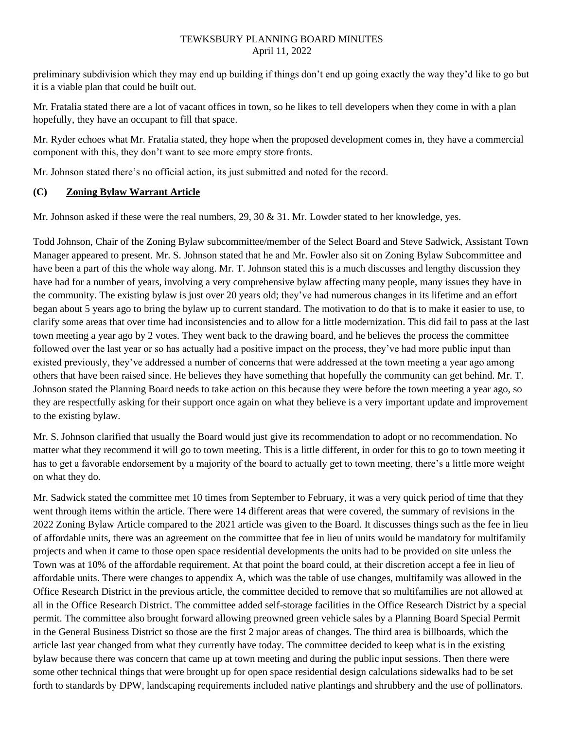preliminary subdivision which they may end up building if things don't end up going exactly the way they'd like to go but it is a viable plan that could be built out.

Mr. Fratalia stated there are a lot of vacant offices in town, so he likes to tell developers when they come in with a plan hopefully, they have an occupant to fill that space.

Mr. Ryder echoes what Mr. Fratalia stated, they hope when the proposed development comes in, they have a commercial component with this, they don't want to see more empty store fronts.

Mr. Johnson stated there's no official action, its just submitted and noted for the record.

# **(C) Zoning Bylaw Warrant Article**

Mr. Johnson asked if these were the real numbers, 29, 30 & 31. Mr. Lowder stated to her knowledge, yes.

Todd Johnson, Chair of the Zoning Bylaw subcommittee/member of the Select Board and Steve Sadwick, Assistant Town Manager appeared to present. Mr. S. Johnson stated that he and Mr. Fowler also sit on Zoning Bylaw Subcommittee and have been a part of this the whole way along. Mr. T. Johnson stated this is a much discusses and lengthy discussion they have had for a number of years, involving a very comprehensive bylaw affecting many people, many issues they have in the community. The existing bylaw is just over 20 years old; they've had numerous changes in its lifetime and an effort began about 5 years ago to bring the bylaw up to current standard. The motivation to do that is to make it easier to use, to clarify some areas that over time had inconsistencies and to allow for a little modernization. This did fail to pass at the last town meeting a year ago by 2 votes. They went back to the drawing board, and he believes the process the committee followed over the last year or so has actually had a positive impact on the process, they've had more public input than existed previously, they've addressed a number of concerns that were addressed at the town meeting a year ago among others that have been raised since. He believes they have something that hopefully the community can get behind. Mr. T. Johnson stated the Planning Board needs to take action on this because they were before the town meeting a year ago, so they are respectfully asking for their support once again on what they believe is a very important update and improvement to the existing bylaw.

Mr. S. Johnson clarified that usually the Board would just give its recommendation to adopt or no recommendation. No matter what they recommend it will go to town meeting. This is a little different, in order for this to go to town meeting it has to get a favorable endorsement by a majority of the board to actually get to town meeting, there's a little more weight on what they do.

Mr. Sadwick stated the committee met 10 times from September to February, it was a very quick period of time that they went through items within the article. There were 14 different areas that were covered, the summary of revisions in the 2022 Zoning Bylaw Article compared to the 2021 article was given to the Board. It discusses things such as the fee in lieu of affordable units, there was an agreement on the committee that fee in lieu of units would be mandatory for multifamily projects and when it came to those open space residential developments the units had to be provided on site unless the Town was at 10% of the affordable requirement. At that point the board could, at their discretion accept a fee in lieu of affordable units. There were changes to appendix A, which was the table of use changes, multifamily was allowed in the Office Research District in the previous article, the committee decided to remove that so multifamilies are not allowed at all in the Office Research District. The committee added self-storage facilities in the Office Research District by a special permit. The committee also brought forward allowing preowned green vehicle sales by a Planning Board Special Permit in the General Business District so those are the first 2 major areas of changes. The third area is billboards, which the article last year changed from what they currently have today. The committee decided to keep what is in the existing bylaw because there was concern that came up at town meeting and during the public input sessions. Then there were some other technical things that were brought up for open space residential design calculations sidewalks had to be set forth to standards by DPW, landscaping requirements included native plantings and shrubbery and the use of pollinators.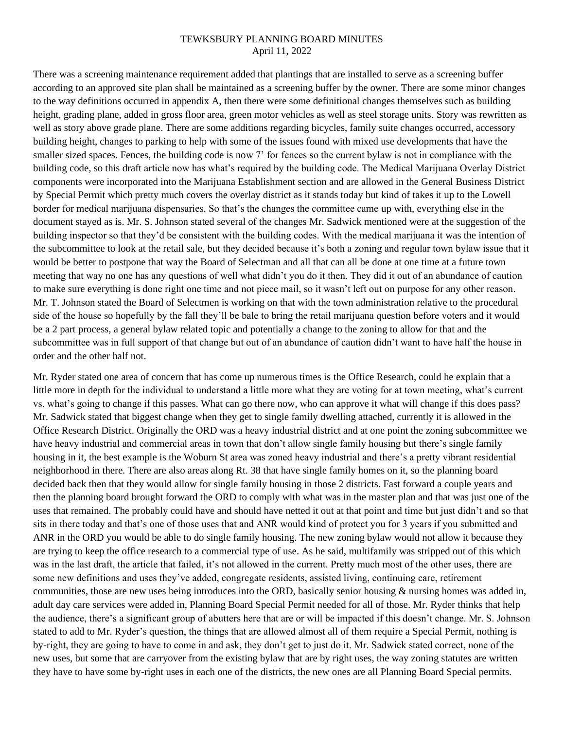There was a screening maintenance requirement added that plantings that are installed to serve as a screening buffer according to an approved site plan shall be maintained as a screening buffer by the owner. There are some minor changes to the way definitions occurred in appendix A, then there were some definitional changes themselves such as building height, grading plane, added in gross floor area, green motor vehicles as well as steel storage units. Story was rewritten as well as story above grade plane. There are some additions regarding bicycles, family suite changes occurred, accessory building height, changes to parking to help with some of the issues found with mixed use developments that have the smaller sized spaces. Fences, the building code is now 7' for fences so the current bylaw is not in compliance with the building code, so this draft article now has what's required by the building code. The Medical Marijuana Overlay District components were incorporated into the Marijuana Establishment section and are allowed in the General Business District by Special Permit which pretty much covers the overlay district as it stands today but kind of takes it up to the Lowell border for medical marijuana dispensaries. So that's the changes the committee came up with, everything else in the document stayed as is. Mr. S. Johnson stated several of the changes Mr. Sadwick mentioned were at the suggestion of the building inspector so that they'd be consistent with the building codes. With the medical marijuana it was the intention of the subcommittee to look at the retail sale, but they decided because it's both a zoning and regular town bylaw issue that it would be better to postpone that way the Board of Selectman and all that can all be done at one time at a future town meeting that way no one has any questions of well what didn't you do it then. They did it out of an abundance of caution to make sure everything is done right one time and not piece mail, so it wasn't left out on purpose for any other reason. Mr. T. Johnson stated the Board of Selectmen is working on that with the town administration relative to the procedural side of the house so hopefully by the fall they'll be bale to bring the retail marijuana question before voters and it would be a 2 part process, a general bylaw related topic and potentially a change to the zoning to allow for that and the subcommittee was in full support of that change but out of an abundance of caution didn't want to have half the house in order and the other half not.

Mr. Ryder stated one area of concern that has come up numerous times is the Office Research, could he explain that a little more in depth for the individual to understand a little more what they are voting for at town meeting, what's current vs. what's going to change if this passes. What can go there now, who can approve it what will change if this does pass? Mr. Sadwick stated that biggest change when they get to single family dwelling attached, currently it is allowed in the Office Research District. Originally the ORD was a heavy industrial district and at one point the zoning subcommittee we have heavy industrial and commercial areas in town that don't allow single family housing but there's single family housing in it, the best example is the Woburn St area was zoned heavy industrial and there's a pretty vibrant residential neighborhood in there. There are also areas along Rt. 38 that have single family homes on it, so the planning board decided back then that they would allow for single family housing in those 2 districts. Fast forward a couple years and then the planning board brought forward the ORD to comply with what was in the master plan and that was just one of the uses that remained. The probably could have and should have netted it out at that point and time but just didn't and so that sits in there today and that's one of those uses that and ANR would kind of protect you for 3 years if you submitted and ANR in the ORD you would be able to do single family housing. The new zoning bylaw would not allow it because they are trying to keep the office research to a commercial type of use. As he said, multifamily was stripped out of this which was in the last draft, the article that failed, it's not allowed in the current. Pretty much most of the other uses, there are some new definitions and uses they've added, congregate residents, assisted living, continuing care, retirement communities, those are new uses being introduces into the ORD, basically senior housing & nursing homes was added in, adult day care services were added in, Planning Board Special Permit needed for all of those. Mr. Ryder thinks that help the audience, there's a significant group of abutters here that are or will be impacted if this doesn't change. Mr. S. Johnson stated to add to Mr. Ryder's question, the things that are allowed almost all of them require a Special Permit, nothing is by-right, they are going to have to come in and ask, they don't get to just do it. Mr. Sadwick stated correct, none of the new uses, but some that are carryover from the existing bylaw that are by right uses, the way zoning statutes are written they have to have some by-right uses in each one of the districts, the new ones are all Planning Board Special permits.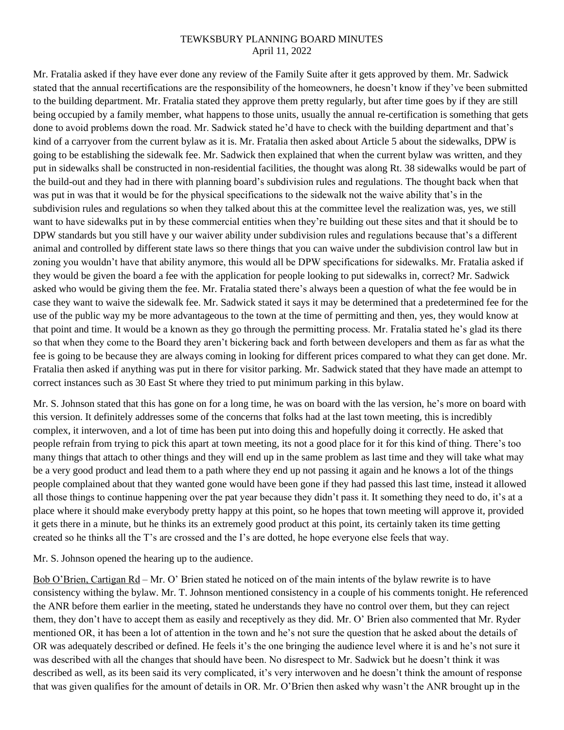Mr. Fratalia asked if they have ever done any review of the Family Suite after it gets approved by them. Mr. Sadwick stated that the annual recertifications are the responsibility of the homeowners, he doesn't know if they've been submitted to the building department. Mr. Fratalia stated they approve them pretty regularly, but after time goes by if they are still being occupied by a family member, what happens to those units, usually the annual re-certification is something that gets done to avoid problems down the road. Mr. Sadwick stated he'd have to check with the building department and that's kind of a carryover from the current bylaw as it is. Mr. Fratalia then asked about Article 5 about the sidewalks, DPW is going to be establishing the sidewalk fee. Mr. Sadwick then explained that when the current bylaw was written, and they put in sidewalks shall be constructed in non-residential facilities, the thought was along Rt. 38 sidewalks would be part of the build-out and they had in there with planning board's subdivision rules and regulations. The thought back when that was put in was that it would be for the physical specifications to the sidewalk not the waive ability that's in the subdivision rules and regulations so when they talked about this at the committee level the realization was, yes, we still want to have sidewalks put in by these commercial entities when they're building out these sites and that it should be to DPW standards but you still have y our waiver ability under subdivision rules and regulations because that's a different animal and controlled by different state laws so there things that you can waive under the subdivision control law but in zoning you wouldn't have that ability anymore, this would all be DPW specifications for sidewalks. Mr. Fratalia asked if they would be given the board a fee with the application for people looking to put sidewalks in, correct? Mr. Sadwick asked who would be giving them the fee. Mr. Fratalia stated there's always been a question of what the fee would be in case they want to waive the sidewalk fee. Mr. Sadwick stated it says it may be determined that a predetermined fee for the use of the public way my be more advantageous to the town at the time of permitting and then, yes, they would know at that point and time. It would be a known as they go through the permitting process. Mr. Fratalia stated he's glad its there so that when they come to the Board they aren't bickering back and forth between developers and them as far as what the fee is going to be because they are always coming in looking for different prices compared to what they can get done. Mr. Fratalia then asked if anything was put in there for visitor parking. Mr. Sadwick stated that they have made an attempt to correct instances such as 30 East St where they tried to put minimum parking in this bylaw.

Mr. S. Johnson stated that this has gone on for a long time, he was on board with the las version, he's more on board with this version. It definitely addresses some of the concerns that folks had at the last town meeting, this is incredibly complex, it interwoven, and a lot of time has been put into doing this and hopefully doing it correctly. He asked that people refrain from trying to pick this apart at town meeting, its not a good place for it for this kind of thing. There's too many things that attach to other things and they will end up in the same problem as last time and they will take what may be a very good product and lead them to a path where they end up not passing it again and he knows a lot of the things people complained about that they wanted gone would have been gone if they had passed this last time, instead it allowed all those things to continue happening over the pat year because they didn't pass it. It something they need to do, it's at a place where it should make everybody pretty happy at this point, so he hopes that town meeting will approve it, provided it gets there in a minute, but he thinks its an extremely good product at this point, its certainly taken its time getting created so he thinks all the T's are crossed and the I's are dotted, he hope everyone else feels that way.

Mr. S. Johnson opened the hearing up to the audience.

Bob O'Brien, Cartigan Rd – Mr. O' Brien stated he noticed on of the main intents of the bylaw rewrite is to have consistency withing the bylaw. Mr. T. Johnson mentioned consistency in a couple of his comments tonight. He referenced the ANR before them earlier in the meeting, stated he understands they have no control over them, but they can reject them, they don't have to accept them as easily and receptively as they did. Mr. O' Brien also commented that Mr. Ryder mentioned OR, it has been a lot of attention in the town and he's not sure the question that he asked about the details of OR was adequately described or defined. He feels it's the one bringing the audience level where it is and he's not sure it was described with all the changes that should have been. No disrespect to Mr. Sadwick but he doesn't think it was described as well, as its been said its very complicated, it's very interwoven and he doesn't think the amount of response that was given qualifies for the amount of details in OR. Mr. O'Brien then asked why wasn't the ANR brought up in the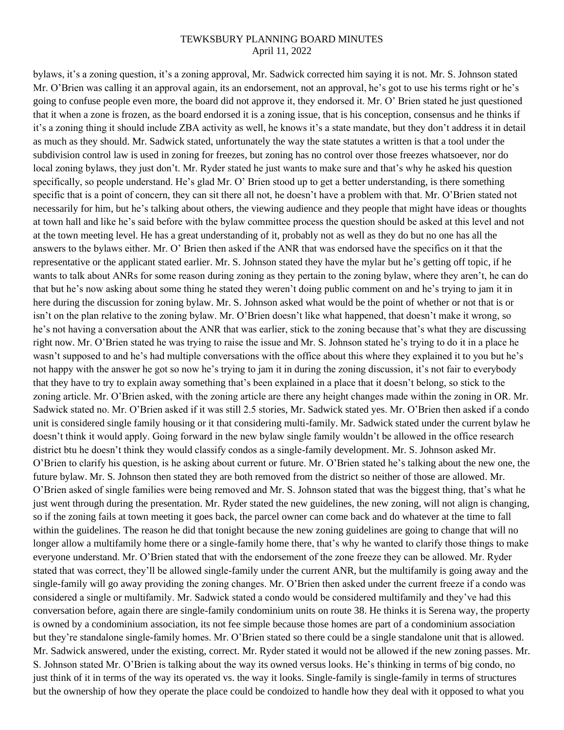bylaws, it's a zoning question, it's a zoning approval, Mr. Sadwick corrected him saying it is not. Mr. S. Johnson stated Mr. O'Brien was calling it an approval again, its an endorsement, not an approval, he's got to use his terms right or he's going to confuse people even more, the board did not approve it, they endorsed it. Mr. O' Brien stated he just questioned that it when a zone is frozen, as the board endorsed it is a zoning issue, that is his conception, consensus and he thinks if it's a zoning thing it should include ZBA activity as well, he knows it's a state mandate, but they don't address it in detail as much as they should. Mr. Sadwick stated, unfortunately the way the state statutes a written is that a tool under the subdivision control law is used in zoning for freezes, but zoning has no control over those freezes whatsoever, nor do local zoning bylaws, they just don't. Mr. Ryder stated he just wants to make sure and that's why he asked his question specifically, so people understand. He's glad Mr. O' Brien stood up to get a better understanding, is there something specific that is a point of concern, they can sit there all not, he doesn't have a problem with that. Mr. O'Brien stated not necessarily for him, but he's talking about others, the viewing audience and they people that might have ideas or thoughts at town hall and like he's said before with the bylaw committee process the question should be asked at this level and not at the town meeting level. He has a great understanding of it, probably not as well as they do but no one has all the answers to the bylaws either. Mr. O' Brien then asked if the ANR that was endorsed have the specifics on it that the representative or the applicant stated earlier. Mr. S. Johnson stated they have the mylar but he's getting off topic, if he wants to talk about ANRs for some reason during zoning as they pertain to the zoning bylaw, where they aren't, he can do that but he's now asking about some thing he stated they weren't doing public comment on and he's trying to jam it in here during the discussion for zoning bylaw. Mr. S. Johnson asked what would be the point of whether or not that is or isn't on the plan relative to the zoning bylaw. Mr. O'Brien doesn't like what happened, that doesn't make it wrong, so he's not having a conversation about the ANR that was earlier, stick to the zoning because that's what they are discussing right now. Mr. O'Brien stated he was trying to raise the issue and Mr. S. Johnson stated he's trying to do it in a place he wasn't supposed to and he's had multiple conversations with the office about this where they explained it to you but he's not happy with the answer he got so now he's trying to jam it in during the zoning discussion, it's not fair to everybody that they have to try to explain away something that's been explained in a place that it doesn't belong, so stick to the zoning article. Mr. O'Brien asked, with the zoning article are there any height changes made within the zoning in OR. Mr. Sadwick stated no. Mr. O'Brien asked if it was still 2.5 stories, Mr. Sadwick stated yes. Mr. O'Brien then asked if a condo unit is considered single family housing or it that considering multi-family. Mr. Sadwick stated under the current bylaw he doesn't think it would apply. Going forward in the new bylaw single family wouldn't be allowed in the office research district btu he doesn't think they would classify condos as a single-family development. Mr. S. Johnson asked Mr. O'Brien to clarify his question, is he asking about current or future. Mr. O'Brien stated he's talking about the new one, the future bylaw. Mr. S. Johnson then stated they are both removed from the district so neither of those are allowed. Mr. O'Brien asked of single families were being removed and Mr. S. Johnson stated that was the biggest thing, that's what he just went through during the presentation. Mr. Ryder stated the new guidelines, the new zoning, will not align is changing, so if the zoning fails at town meeting it goes back, the parcel owner can come back and do whatever at the time to fall within the guidelines. The reason he did that tonight because the new zoning guidelines are going to change that will no longer allow a multifamily home there or a single-family home there, that's why he wanted to clarify those things to make everyone understand. Mr. O'Brien stated that with the endorsement of the zone freeze they can be allowed. Mr. Ryder stated that was correct, they'll be allowed single-family under the current ANR, but the multifamily is going away and the single-family will go away providing the zoning changes. Mr. O'Brien then asked under the current freeze if a condo was considered a single or multifamily. Mr. Sadwick stated a condo would be considered multifamily and they've had this conversation before, again there are single-family condominium units on route 38. He thinks it is Serena way, the property is owned by a condominium association, its not fee simple because those homes are part of a condominium association but they're standalone single-family homes. Mr. O'Brien stated so there could be a single standalone unit that is allowed. Mr. Sadwick answered, under the existing, correct. Mr. Ryder stated it would not be allowed if the new zoning passes. Mr. S. Johnson stated Mr. O'Brien is talking about the way its owned versus looks. He's thinking in terms of big condo, no just think of it in terms of the way its operated vs. the way it looks. Single-family is single-family in terms of structures but the ownership of how they operate the place could be condoized to handle how they deal with it opposed to what you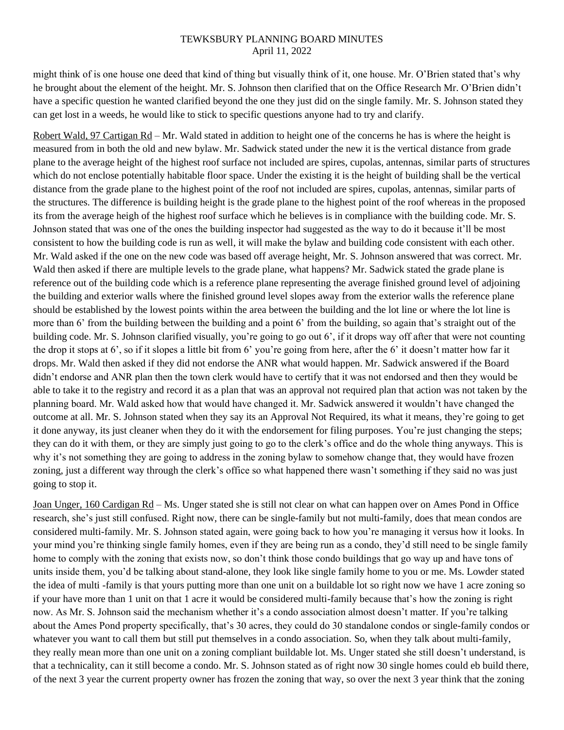might think of is one house one deed that kind of thing but visually think of it, one house. Mr. O'Brien stated that's why he brought about the element of the height. Mr. S. Johnson then clarified that on the Office Research Mr. O'Brien didn't have a specific question he wanted clarified beyond the one they just did on the single family. Mr. S. Johnson stated they can get lost in a weeds, he would like to stick to specific questions anyone had to try and clarify.

Robert Wald, 97 Cartigan Rd – Mr. Wald stated in addition to height one of the concerns he has is where the height is measured from in both the old and new bylaw. Mr. Sadwick stated under the new it is the vertical distance from grade plane to the average height of the highest roof surface not included are spires, cupolas, antennas, similar parts of structures which do not enclose potentially habitable floor space. Under the existing it is the height of building shall be the vertical distance from the grade plane to the highest point of the roof not included are spires, cupolas, antennas, similar parts of the structures. The difference is building height is the grade plane to the highest point of the roof whereas in the proposed its from the average heigh of the highest roof surface which he believes is in compliance with the building code. Mr. S. Johnson stated that was one of the ones the building inspector had suggested as the way to do it because it'll be most consistent to how the building code is run as well, it will make the bylaw and building code consistent with each other. Mr. Wald asked if the one on the new code was based off average height, Mr. S. Johnson answered that was correct. Mr. Wald then asked if there are multiple levels to the grade plane, what happens? Mr. Sadwick stated the grade plane is reference out of the building code which is a reference plane representing the average finished ground level of adjoining the building and exterior walls where the finished ground level slopes away from the exterior walls the reference plane should be established by the lowest points within the area between the building and the lot line or where the lot line is more than 6' from the building between the building and a point 6' from the building, so again that's straight out of the building code. Mr. S. Johnson clarified visually, you're going to go out 6', if it drops way off after that were not counting the drop it stops at 6', so if it slopes a little bit from 6' you're going from here, after the 6' it doesn't matter how far it drops. Mr. Wald then asked if they did not endorse the ANR what would happen. Mr. Sadwick answered if the Board didn't endorse and ANR plan then the town clerk would have to certify that it was not endorsed and then they would be able to take it to the registry and record it as a plan that was an approval not required plan that action was not taken by the planning board. Mr. Wald asked how that would have changed it. Mr. Sadwick answered it wouldn't have changed the outcome at all. Mr. S. Johnson stated when they say its an Approval Not Required, its what it means, they're going to get it done anyway, its just cleaner when they do it with the endorsement for filing purposes. You're just changing the steps; they can do it with them, or they are simply just going to go to the clerk's office and do the whole thing anyways. This is why it's not something they are going to address in the zoning bylaw to somehow change that, they would have frozen zoning, just a different way through the clerk's office so what happened there wasn't something if they said no was just going to stop it.

Joan Unger, 160 Cardigan Rd – Ms. Unger stated she is still not clear on what can happen over on Ames Pond in Office research, she's just still confused. Right now, there can be single-family but not multi-family, does that mean condos are considered multi-family. Mr. S. Johnson stated again, were going back to how you're managing it versus how it looks. In your mind you're thinking single family homes, even if they are being run as a condo, they'd still need to be single family home to comply with the zoning that exists now, so don't think those condo buildings that go way up and have tons of units inside them, you'd be talking about stand-alone, they look like single family home to you or me. Ms. Lowder stated the idea of multi -family is that yours putting more than one unit on a buildable lot so right now we have 1 acre zoning so if your have more than 1 unit on that 1 acre it would be considered multi-family because that's how the zoning is right now. As Mr. S. Johnson said the mechanism whether it's a condo association almost doesn't matter. If you're talking about the Ames Pond property specifically, that's 30 acres, they could do 30 standalone condos or single-family condos or whatever you want to call them but still put themselves in a condo association. So, when they talk about multi-family, they really mean more than one unit on a zoning compliant buildable lot. Ms. Unger stated she still doesn't understand, is that a technicality, can it still become a condo. Mr. S. Johnson stated as of right now 30 single homes could eb build there, of the next 3 year the current property owner has frozen the zoning that way, so over the next 3 year think that the zoning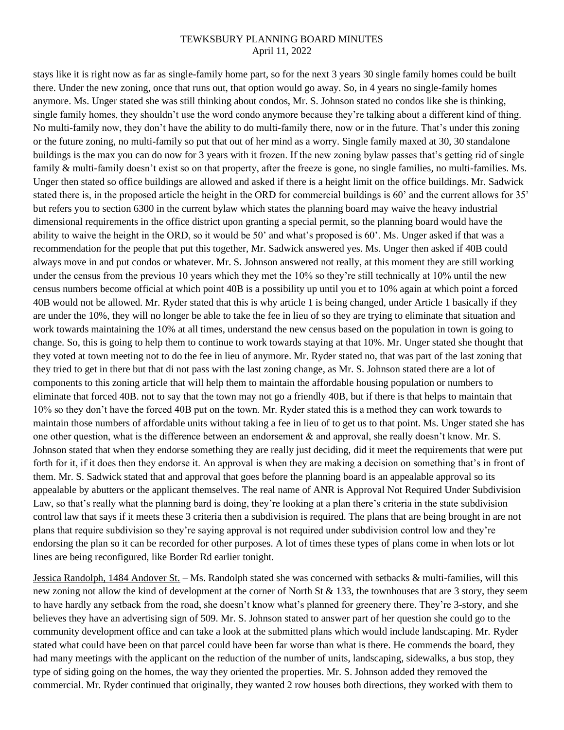stays like it is right now as far as single-family home part, so for the next 3 years 30 single family homes could be built there. Under the new zoning, once that runs out, that option would go away. So, in 4 years no single-family homes anymore. Ms. Unger stated she was still thinking about condos, Mr. S. Johnson stated no condos like she is thinking, single family homes, they shouldn't use the word condo anymore because they're talking about a different kind of thing. No multi-family now, they don't have the ability to do multi-family there, now or in the future. That's under this zoning or the future zoning, no multi-family so put that out of her mind as a worry. Single family maxed at 30, 30 standalone buildings is the max you can do now for 3 years with it frozen. If the new zoning bylaw passes that's getting rid of single family & multi-family doesn't exist so on that property, after the freeze is gone, no single families, no multi-families. Ms. Unger then stated so office buildings are allowed and asked if there is a height limit on the office buildings. Mr. Sadwick stated there is, in the proposed article the height in the ORD for commercial buildings is 60' and the current allows for 35' but refers you to section 6300 in the current bylaw which states the planning board may waive the heavy industrial dimensional requirements in the office district upon granting a special permit, so the planning board would have the ability to waive the height in the ORD, so it would be 50' and what's proposed is 60'. Ms. Unger asked if that was a recommendation for the people that put this together, Mr. Sadwick answered yes. Ms. Unger then asked if 40B could always move in and put condos or whatever. Mr. S. Johnson answered not really, at this moment they are still working under the census from the previous 10 years which they met the 10% so they're still technically at 10% until the new census numbers become official at which point 40B is a possibility up until you et to 10% again at which point a forced 40B would not be allowed. Mr. Ryder stated that this is why article 1 is being changed, under Article 1 basically if they are under the 10%, they will no longer be able to take the fee in lieu of so they are trying to eliminate that situation and work towards maintaining the 10% at all times, understand the new census based on the population in town is going to change. So, this is going to help them to continue to work towards staying at that 10%. Mr. Unger stated she thought that they voted at town meeting not to do the fee in lieu of anymore. Mr. Ryder stated no, that was part of the last zoning that they tried to get in there but that di not pass with the last zoning change, as Mr. S. Johnson stated there are a lot of components to this zoning article that will help them to maintain the affordable housing population or numbers to eliminate that forced 40B. not to say that the town may not go a friendly 40B, but if there is that helps to maintain that 10% so they don't have the forced 40B put on the town. Mr. Ryder stated this is a method they can work towards to maintain those numbers of affordable units without taking a fee in lieu of to get us to that point. Ms. Unger stated she has one other question, what is the difference between an endorsement & and approval, she really doesn't know. Mr. S. Johnson stated that when they endorse something they are really just deciding, did it meet the requirements that were put forth for it, if it does then they endorse it. An approval is when they are making a decision on something that's in front of them. Mr. S. Sadwick stated that and approval that goes before the planning board is an appealable approval so its appealable by abutters or the applicant themselves. The real name of ANR is Approval Not Required Under Subdivision Law, so that's really what the planning bard is doing, they're looking at a plan there's criteria in the state subdivision control law that says if it meets these 3 criteria then a subdivision is required. The plans that are being brought in are not plans that require subdivision so they're saying approval is not required under subdivision control low and they're endorsing the plan so it can be recorded for other purposes. A lot of times these types of plans come in when lots or lot lines are being reconfigured, like Border Rd earlier tonight.

Jessica Randolph, 1484 Andover St. – Ms. Randolph stated she was concerned with setbacks & multi-families, will this new zoning not allow the kind of development at the corner of North St & 133, the townhouses that are 3 story, they seem to have hardly any setback from the road, she doesn't know what's planned for greenery there. They're 3-story, and she believes they have an advertising sign of 509. Mr. S. Johnson stated to answer part of her question she could go to the community development office and can take a look at the submitted plans which would include landscaping. Mr. Ryder stated what could have been on that parcel could have been far worse than what is there. He commends the board, they had many meetings with the applicant on the reduction of the number of units, landscaping, sidewalks, a bus stop, they type of siding going on the homes, the way they oriented the properties. Mr. S. Johnson added they removed the commercial. Mr. Ryder continued that originally, they wanted 2 row houses both directions, they worked with them to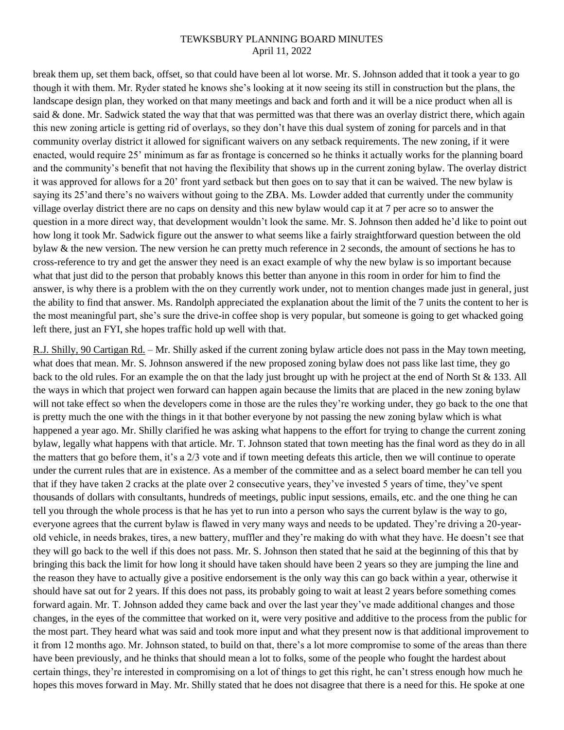break them up, set them back, offset, so that could have been al lot worse. Mr. S. Johnson added that it took a year to go though it with them. Mr. Ryder stated he knows she's looking at it now seeing its still in construction but the plans, the landscape design plan, they worked on that many meetings and back and forth and it will be a nice product when all is said & done. Mr. Sadwick stated the way that that was permitted was that there was an overlay district there, which again this new zoning article is getting rid of overlays, so they don't have this dual system of zoning for parcels and in that community overlay district it allowed for significant waivers on any setback requirements. The new zoning, if it were enacted, would require 25' minimum as far as frontage is concerned so he thinks it actually works for the planning board and the community's benefit that not having the flexibility that shows up in the current zoning bylaw. The overlay district it was approved for allows for a 20' front yard setback but then goes on to say that it can be waived. The new bylaw is saying its 25'and there's no waivers without going to the ZBA. Ms. Lowder added that currently under the community village overlay district there are no caps on density and this new bylaw would cap it at 7 per acre so to answer the question in a more direct way, that development wouldn't look the same. Mr. S. Johnson then added he'd like to point out how long it took Mr. Sadwick figure out the answer to what seems like a fairly straightforward question between the old bylaw & the new version. The new version he can pretty much reference in 2 seconds, the amount of sections he has to cross-reference to try and get the answer they need is an exact example of why the new bylaw is so important because what that just did to the person that probably knows this better than anyone in this room in order for him to find the answer, is why there is a problem with the on they currently work under, not to mention changes made just in general, just the ability to find that answer. Ms. Randolph appreciated the explanation about the limit of the 7 units the content to her is the most meaningful part, she's sure the drive-in coffee shop is very popular, but someone is going to get whacked going left there, just an FYI, she hopes traffic hold up well with that.

R.J. Shilly, 90 Cartigan Rd. – Mr. Shilly asked if the current zoning bylaw article does not pass in the May town meeting, what does that mean. Mr. S. Johnson answered if the new proposed zoning bylaw does not pass like last time, they go back to the old rules. For an example the on that the lady just brought up with he project at the end of North St & 133. All the ways in which that project wen forward can happen again because the limits that are placed in the new zoning bylaw will not take effect so when the developers come in those are the rules they're working under, they go back to the one that is pretty much the one with the things in it that bother everyone by not passing the new zoning bylaw which is what happened a year ago. Mr. Shilly clarified he was asking what happens to the effort for trying to change the current zoning bylaw, legally what happens with that article. Mr. T. Johnson stated that town meeting has the final word as they do in all the matters that go before them, it's a 2/3 vote and if town meeting defeats this article, then we will continue to operate under the current rules that are in existence. As a member of the committee and as a select board member he can tell you that if they have taken 2 cracks at the plate over 2 consecutive years, they've invested 5 years of time, they've spent thousands of dollars with consultants, hundreds of meetings, public input sessions, emails, etc. and the one thing he can tell you through the whole process is that he has yet to run into a person who says the current bylaw is the way to go, everyone agrees that the current bylaw is flawed in very many ways and needs to be updated. They're driving a 20-yearold vehicle, in needs brakes, tires, a new battery, muffler and they're making do with what they have. He doesn't see that they will go back to the well if this does not pass. Mr. S. Johnson then stated that he said at the beginning of this that by bringing this back the limit for how long it should have taken should have been 2 years so they are jumping the line and the reason they have to actually give a positive endorsement is the only way this can go back within a year, otherwise it should have sat out for 2 years. If this does not pass, its probably going to wait at least 2 years before something comes forward again. Mr. T. Johnson added they came back and over the last year they've made additional changes and those changes, in the eyes of the committee that worked on it, were very positive and additive to the process from the public for the most part. They heard what was said and took more input and what they present now is that additional improvement to it from 12 months ago. Mr. Johnson stated, to build on that, there's a lot more compromise to some of the areas than there have been previously, and he thinks that should mean a lot to folks, some of the people who fought the hardest about certain things, they're interested in compromising on a lot of things to get this right, he can't stress enough how much he hopes this moves forward in May. Mr. Shilly stated that he does not disagree that there is a need for this. He spoke at one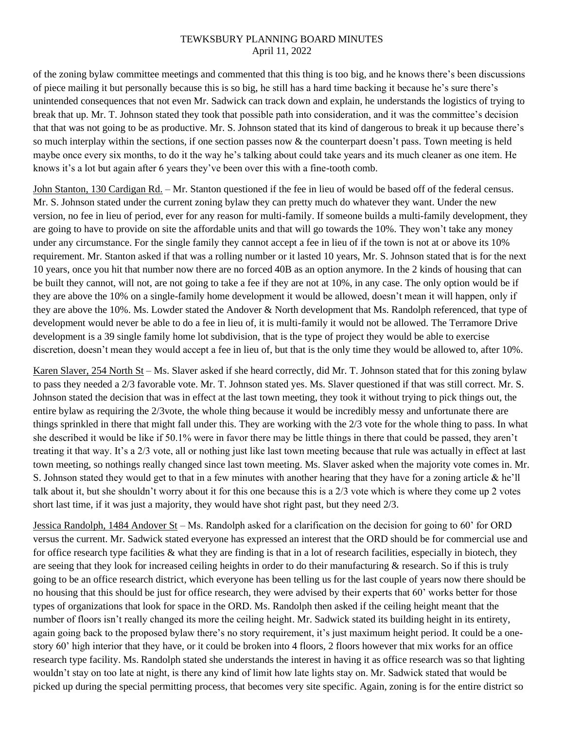of the zoning bylaw committee meetings and commented that this thing is too big, and he knows there's been discussions of piece mailing it but personally because this is so big, he still has a hard time backing it because he's sure there's unintended consequences that not even Mr. Sadwick can track down and explain, he understands the logistics of trying to break that up. Mr. T. Johnson stated they took that possible path into consideration, and it was the committee's decision that that was not going to be as productive. Mr. S. Johnson stated that its kind of dangerous to break it up because there's so much interplay within the sections, if one section passes now  $\&$  the counterpart doesn't pass. Town meeting is held maybe once every six months, to do it the way he's talking about could take years and its much cleaner as one item. He knows it's a lot but again after 6 years they've been over this with a fine-tooth comb.

John Stanton, 130 Cardigan Rd. – Mr. Stanton questioned if the fee in lieu of would be based off of the federal census. Mr. S. Johnson stated under the current zoning bylaw they can pretty much do whatever they want. Under the new version, no fee in lieu of period, ever for any reason for multi-family. If someone builds a multi-family development, they are going to have to provide on site the affordable units and that will go towards the 10%. They won't take any money under any circumstance. For the single family they cannot accept a fee in lieu of if the town is not at or above its 10% requirement. Mr. Stanton asked if that was a rolling number or it lasted 10 years, Mr. S. Johnson stated that is for the next 10 years, once you hit that number now there are no forced 40B as an option anymore. In the 2 kinds of housing that can be built they cannot, will not, are not going to take a fee if they are not at 10%, in any case. The only option would be if they are above the 10% on a single-family home development it would be allowed, doesn't mean it will happen, only if they are above the 10%. Ms. Lowder stated the Andover & North development that Ms. Randolph referenced, that type of development would never be able to do a fee in lieu of, it is multi-family it would not be allowed. The Terramore Drive development is a 39 single family home lot subdivision, that is the type of project they would be able to exercise discretion, doesn't mean they would accept a fee in lieu of, but that is the only time they would be allowed to, after 10%.

Karen Slaver, 254 North St – Ms. Slaver asked if she heard correctly, did Mr. T. Johnson stated that for this zoning bylaw to pass they needed a 2/3 favorable vote. Mr. T. Johnson stated yes. Ms. Slaver questioned if that was still correct. Mr. S. Johnson stated the decision that was in effect at the last town meeting, they took it without trying to pick things out, the entire bylaw as requiring the 2/3vote, the whole thing because it would be incredibly messy and unfortunate there are things sprinkled in there that might fall under this. They are working with the 2/3 vote for the whole thing to pass. In what she described it would be like if 50.1% were in favor there may be little things in there that could be passed, they aren't treating it that way. It's a 2/3 vote, all or nothing just like last town meeting because that rule was actually in effect at last town meeting, so nothings really changed since last town meeting. Ms. Slaver asked when the majority vote comes in. Mr. S. Johnson stated they would get to that in a few minutes with another hearing that they have for a zoning article & he'll talk about it, but she shouldn't worry about it for this one because this is a 2/3 vote which is where they come up 2 votes short last time, if it was just a majority, they would have shot right past, but they need 2/3.

Jessica Randolph, 1484 Andover St – Ms. Randolph asked for a clarification on the decision for going to 60' for ORD versus the current. Mr. Sadwick stated everyone has expressed an interest that the ORD should be for commercial use and for office research type facilities  $\&$  what they are finding is that in a lot of research facilities, especially in biotech, they are seeing that they look for increased ceiling heights in order to do their manufacturing & research. So if this is truly going to be an office research district, which everyone has been telling us for the last couple of years now there should be no housing that this should be just for office research, they were advised by their experts that 60' works better for those types of organizations that look for space in the ORD. Ms. Randolph then asked if the ceiling height meant that the number of floors isn't really changed its more the ceiling height. Mr. Sadwick stated its building height in its entirety, again going back to the proposed bylaw there's no story requirement, it's just maximum height period. It could be a onestory 60' high interior that they have, or it could be broken into 4 floors, 2 floors however that mix works for an office research type facility. Ms. Randolph stated she understands the interest in having it as office research was so that lighting wouldn't stay on too late at night, is there any kind of limit how late lights stay on. Mr. Sadwick stated that would be picked up during the special permitting process, that becomes very site specific. Again, zoning is for the entire district so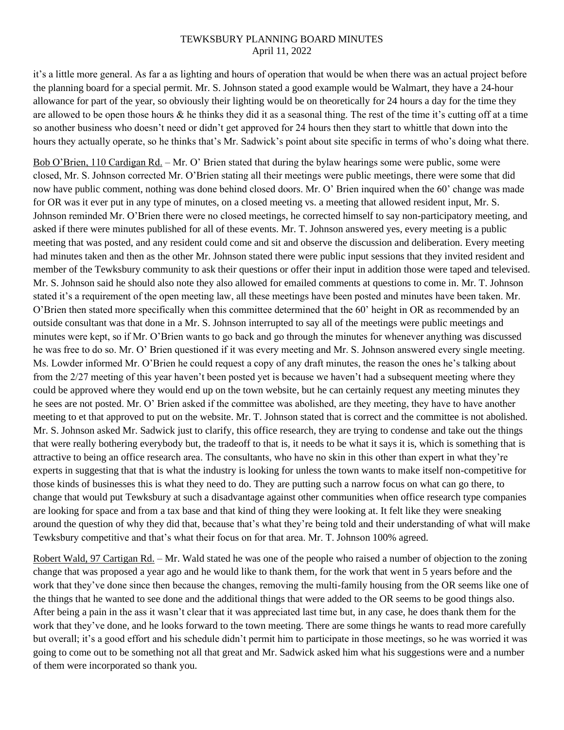it's a little more general. As far a as lighting and hours of operation that would be when there was an actual project before the planning board for a special permit. Mr. S. Johnson stated a good example would be Walmart, they have a 24-hour allowance for part of the year, so obviously their lighting would be on theoretically for 24 hours a day for the time they are allowed to be open those hours  $\&$  he thinks they did it as a seasonal thing. The rest of the time it's cutting off at a time so another business who doesn't need or didn't get approved for 24 hours then they start to whittle that down into the hours they actually operate, so he thinks that's Mr. Sadwick's point about site specific in terms of who's doing what there.

Bob O'Brien, 110 Cardigan Rd. – Mr. O' Brien stated that during the bylaw hearings some were public, some were closed, Mr. S. Johnson corrected Mr. O'Brien stating all their meetings were public meetings, there were some that did now have public comment, nothing was done behind closed doors. Mr. O' Brien inquired when the 60' change was made for OR was it ever put in any type of minutes, on a closed meeting vs. a meeting that allowed resident input, Mr. S. Johnson reminded Mr. O'Brien there were no closed meetings, he corrected himself to say non-participatory meeting, and asked if there were minutes published for all of these events. Mr. T. Johnson answered yes, every meeting is a public meeting that was posted, and any resident could come and sit and observe the discussion and deliberation. Every meeting had minutes taken and then as the other Mr. Johnson stated there were public input sessions that they invited resident and member of the Tewksbury community to ask their questions or offer their input in addition those were taped and televised. Mr. S. Johnson said he should also note they also allowed for emailed comments at questions to come in. Mr. T. Johnson stated it's a requirement of the open meeting law, all these meetings have been posted and minutes have been taken. Mr. O'Brien then stated more specifically when this committee determined that the 60' height in OR as recommended by an outside consultant was that done in a Mr. S. Johnson interrupted to say all of the meetings were public meetings and minutes were kept, so if Mr. O'Brien wants to go back and go through the minutes for whenever anything was discussed he was free to do so. Mr. O' Brien questioned if it was every meeting and Mr. S. Johnson answered every single meeting. Ms. Lowder informed Mr. O'Brien he could request a copy of any draft minutes, the reason the ones he's talking about from the 2/27 meeting of this year haven't been posted yet is because we haven't had a subsequent meeting where they could be approved where they would end up on the town website, but he can certainly request any meeting minutes they he sees are not posted. Mr. O' Brien asked if the committee was abolished, are they meeting, they have to have another meeting to et that approved to put on the website. Mr. T. Johnson stated that is correct and the committee is not abolished. Mr. S. Johnson asked Mr. Sadwick just to clarify, this office research, they are trying to condense and take out the things that were really bothering everybody but, the tradeoff to that is, it needs to be what it says it is, which is something that is attractive to being an office research area. The consultants, who have no skin in this other than expert in what they're experts in suggesting that that is what the industry is looking for unless the town wants to make itself non-competitive for those kinds of businesses this is what they need to do. They are putting such a narrow focus on what can go there, to change that would put Tewksbury at such a disadvantage against other communities when office research type companies are looking for space and from a tax base and that kind of thing they were looking at. It felt like they were sneaking around the question of why they did that, because that's what they're being told and their understanding of what will make Tewksbury competitive and that's what their focus on for that area. Mr. T. Johnson 100% agreed.

Robert Wald, 97 Cartigan Rd. – Mr. Wald stated he was one of the people who raised a number of objection to the zoning change that was proposed a year ago and he would like to thank them, for the work that went in 5 years before and the work that they've done since then because the changes, removing the multi-family housing from the OR seems like one of the things that he wanted to see done and the additional things that were added to the OR seems to be good things also. After being a pain in the ass it wasn't clear that it was appreciated last time but, in any case, he does thank them for the work that they've done, and he looks forward to the town meeting. There are some things he wants to read more carefully but overall; it's a good effort and his schedule didn't permit him to participate in those meetings, so he was worried it was going to come out to be something not all that great and Mr. Sadwick asked him what his suggestions were and a number of them were incorporated so thank you.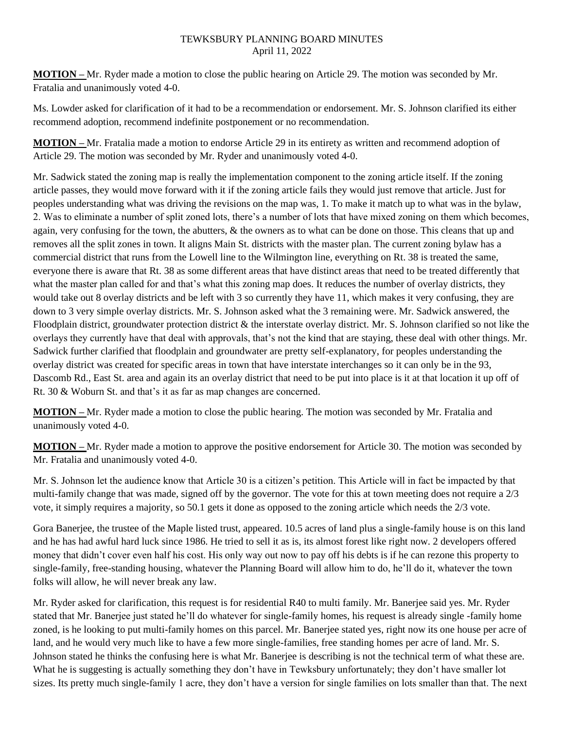**MOTION –** Mr. Ryder made a motion to close the public hearing on Article 29. The motion was seconded by Mr. Fratalia and unanimously voted 4-0.

Ms. Lowder asked for clarification of it had to be a recommendation or endorsement. Mr. S. Johnson clarified its either recommend adoption, recommend indefinite postponement or no recommendation.

**MOTION –** Mr. Fratalia made a motion to endorse Article 29 in its entirety as written and recommend adoption of Article 29. The motion was seconded by Mr. Ryder and unanimously voted 4-0.

Mr. Sadwick stated the zoning map is really the implementation component to the zoning article itself. If the zoning article passes, they would move forward with it if the zoning article fails they would just remove that article. Just for peoples understanding what was driving the revisions on the map was, 1. To make it match up to what was in the bylaw, 2. Was to eliminate a number of split zoned lots, there's a number of lots that have mixed zoning on them which becomes, again, very confusing for the town, the abutters, & the owners as to what can be done on those. This cleans that up and removes all the split zones in town. It aligns Main St. districts with the master plan. The current zoning bylaw has a commercial district that runs from the Lowell line to the Wilmington line, everything on Rt. 38 is treated the same, everyone there is aware that Rt. 38 as some different areas that have distinct areas that need to be treated differently that what the master plan called for and that's what this zoning map does. It reduces the number of overlay districts, they would take out 8 overlay districts and be left with 3 so currently they have 11, which makes it very confusing, they are down to 3 very simple overlay districts. Mr. S. Johnson asked what the 3 remaining were. Mr. Sadwick answered, the Floodplain district, groundwater protection district & the interstate overlay district. Mr. S. Johnson clarified so not like the overlays they currently have that deal with approvals, that's not the kind that are staying, these deal with other things. Mr. Sadwick further clarified that floodplain and groundwater are pretty self-explanatory, for peoples understanding the overlay district was created for specific areas in town that have interstate interchanges so it can only be in the 93, Dascomb Rd., East St. area and again its an overlay district that need to be put into place is it at that location it up off of Rt. 30 & Woburn St. and that's it as far as map changes are concerned.

**MOTION –** Mr. Ryder made a motion to close the public hearing. The motion was seconded by Mr. Fratalia and unanimously voted 4-0.

**MOTION –** Mr. Ryder made a motion to approve the positive endorsement for Article 30. The motion was seconded by Mr. Fratalia and unanimously voted 4-0.

Mr. S. Johnson let the audience know that Article 30 is a citizen's petition. This Article will in fact be impacted by that multi-family change that was made, signed off by the governor. The vote for this at town meeting does not require a 2/3 vote, it simply requires a majority, so 50.1 gets it done as opposed to the zoning article which needs the 2/3 vote.

Gora Banerjee, the trustee of the Maple listed trust, appeared. 10.5 acres of land plus a single-family house is on this land and he has had awful hard luck since 1986. He tried to sell it as is, its almost forest like right now. 2 developers offered money that didn't cover even half his cost. His only way out now to pay off his debts is if he can rezone this property to single-family, free-standing housing, whatever the Planning Board will allow him to do, he'll do it, whatever the town folks will allow, he will never break any law.

Mr. Ryder asked for clarification, this request is for residential R40 to multi family. Mr. Banerjee said yes. Mr. Ryder stated that Mr. Banerjee just stated he'll do whatever for single-family homes, his request is already single -family home zoned, is he looking to put multi-family homes on this parcel. Mr. Banerjee stated yes, right now its one house per acre of land, and he would very much like to have a few more single-families, free standing homes per acre of land. Mr. S. Johnson stated he thinks the confusing here is what Mr. Banerjee is describing is not the technical term of what these are. What he is suggesting is actually something they don't have in Tewksbury unfortunately; they don't have smaller lot sizes. Its pretty much single-family 1 acre, they don't have a version for single families on lots smaller than that. The next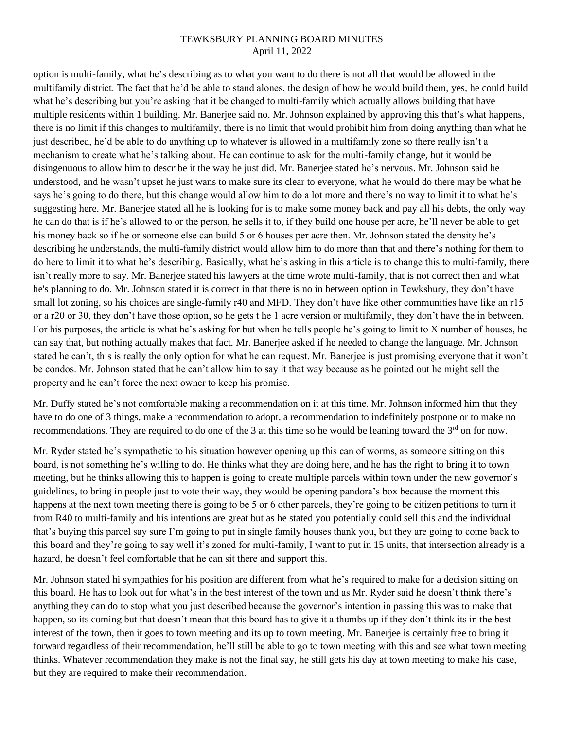option is multi-family, what he's describing as to what you want to do there is not all that would be allowed in the multifamily district. The fact that he'd be able to stand alones, the design of how he would build them, yes, he could build what he's describing but you're asking that it be changed to multi-family which actually allows building that have multiple residents within 1 building. Mr. Banerjee said no. Mr. Johnson explained by approving this that's what happens, there is no limit if this changes to multifamily, there is no limit that would prohibit him from doing anything than what he just described, he'd be able to do anything up to whatever is allowed in a multifamily zone so there really isn't a mechanism to create what he's talking about. He can continue to ask for the multi-family change, but it would be disingenuous to allow him to describe it the way he just did. Mr. Banerjee stated he's nervous. Mr. Johnson said he understood, and he wasn't upset he just wans to make sure its clear to everyone, what he would do there may be what he says he's going to do there, but this change would allow him to do a lot more and there's no way to limit it to what he's suggesting here. Mr. Banerjee stated all he is looking for is to make some money back and pay all his debts, the only way he can do that is if he's allowed to or the person, he sells it to, if they build one house per acre, he'll never be able to get his money back so if he or someone else can build 5 or 6 houses per acre then. Mr. Johnson stated the density he's describing he understands, the multi-family district would allow him to do more than that and there's nothing for them to do here to limit it to what he's describing. Basically, what he's asking in this article is to change this to multi-family, there isn't really more to say. Mr. Banerjee stated his lawyers at the time wrote multi-family, that is not correct then and what he's planning to do. Mr. Johnson stated it is correct in that there is no in between option in Tewksbury, they don't have small lot zoning, so his choices are single-family r40 and MFD. They don't have like other communities have like an r15 or a r20 or 30, they don't have those option, so he gets t he 1 acre version or multifamily, they don't have the in between. For his purposes, the article is what he's asking for but when he tells people he's going to limit to X number of houses, he can say that, but nothing actually makes that fact. Mr. Banerjee asked if he needed to change the language. Mr. Johnson stated he can't, this is really the only option for what he can request. Mr. Banerjee is just promising everyone that it won't be condos. Mr. Johnson stated that he can't allow him to say it that way because as he pointed out he might sell the property and he can't force the next owner to keep his promise.

Mr. Duffy stated he's not comfortable making a recommendation on it at this time. Mr. Johnson informed him that they have to do one of 3 things, make a recommendation to adopt, a recommendation to indefinitely postpone or to make no recommendations. They are required to do one of the 3 at this time so he would be leaning toward the 3<sup>rd</sup> on for now.

Mr. Ryder stated he's sympathetic to his situation however opening up this can of worms, as someone sitting on this board, is not something he's willing to do. He thinks what they are doing here, and he has the right to bring it to town meeting, but he thinks allowing this to happen is going to create multiple parcels within town under the new governor's guidelines, to bring in people just to vote their way, they would be opening pandora's box because the moment this happens at the next town meeting there is going to be 5 or 6 other parcels, they're going to be citizen petitions to turn it from R40 to multi-family and his intentions are great but as he stated you potentially could sell this and the individual that's buying this parcel say sure I'm going to put in single family houses thank you, but they are going to come back to this board and they're going to say well it's zoned for multi-family, I want to put in 15 units, that intersection already is a hazard, he doesn't feel comfortable that he can sit there and support this.

Mr. Johnson stated hi sympathies for his position are different from what he's required to make for a decision sitting on this board. He has to look out for what's in the best interest of the town and as Mr. Ryder said he doesn't think there's anything they can do to stop what you just described because the governor's intention in passing this was to make that happen, so its coming but that doesn't mean that this board has to give it a thumbs up if they don't think its in the best interest of the town, then it goes to town meeting and its up to town meeting. Mr. Banerjee is certainly free to bring it forward regardless of their recommendation, he'll still be able to go to town meeting with this and see what town meeting thinks. Whatever recommendation they make is not the final say, he still gets his day at town meeting to make his case, but they are required to make their recommendation.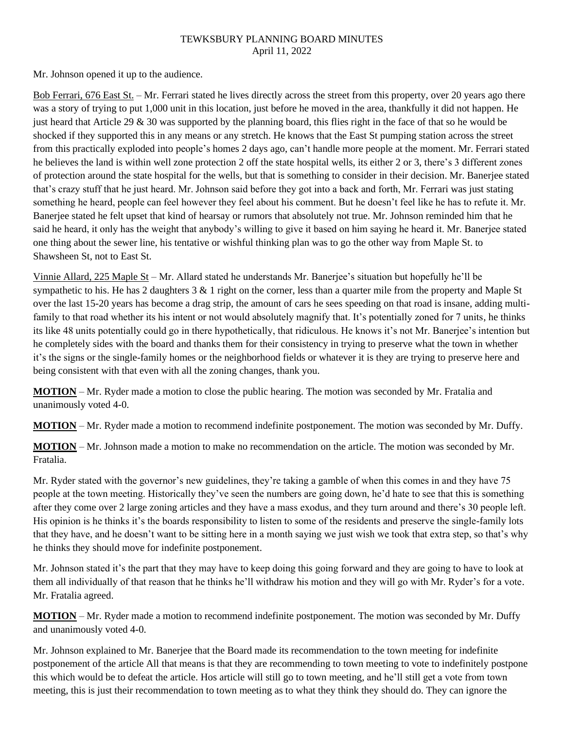Mr. Johnson opened it up to the audience.

Bob Ferrari, 676 East St. – Mr. Ferrari stated he lives directly across the street from this property, over 20 years ago there was a story of trying to put 1,000 unit in this location, just before he moved in the area, thankfully it did not happen. He just heard that Article 29  $\&$  30 was supported by the planning board, this flies right in the face of that so he would be shocked if they supported this in any means or any stretch. He knows that the East St pumping station across the street from this practically exploded into people's homes 2 days ago, can't handle more people at the moment. Mr. Ferrari stated he believes the land is within well zone protection 2 off the state hospital wells, its either 2 or 3, there's 3 different zones of protection around the state hospital for the wells, but that is something to consider in their decision. Mr. Banerjee stated that's crazy stuff that he just heard. Mr. Johnson said before they got into a back and forth, Mr. Ferrari was just stating something he heard, people can feel however they feel about his comment. But he doesn't feel like he has to refute it. Mr. Banerjee stated he felt upset that kind of hearsay or rumors that absolutely not true. Mr. Johnson reminded him that he said he heard, it only has the weight that anybody's willing to give it based on him saying he heard it. Mr. Banerjee stated one thing about the sewer line, his tentative or wishful thinking plan was to go the other way from Maple St. to Shawsheen St, not to East St.

Vinnie Allard, 225 Maple St – Mr. Allard stated he understands Mr. Banerjee's situation but hopefully he'll be sympathetic to his. He has 2 daughters  $3 \& 1$  right on the corner, less than a quarter mile from the property and Maple St over the last 15-20 years has become a drag strip, the amount of cars he sees speeding on that road is insane, adding multifamily to that road whether its his intent or not would absolutely magnify that. It's potentially zoned for 7 units, he thinks its like 48 units potentially could go in there hypothetically, that ridiculous. He knows it's not Mr. Banerjee's intention but he completely sides with the board and thanks them for their consistency in trying to preserve what the town in whether it's the signs or the single-family homes or the neighborhood fields or whatever it is they are trying to preserve here and being consistent with that even with all the zoning changes, thank you.

**MOTION** – Mr. Ryder made a motion to close the public hearing. The motion was seconded by Mr. Fratalia and unanimously voted 4-0.

**MOTION** – Mr. Ryder made a motion to recommend indefinite postponement. The motion was seconded by Mr. Duffy.

**MOTION** – Mr. Johnson made a motion to make no recommendation on the article. The motion was seconded by Mr. Fratalia.

Mr. Ryder stated with the governor's new guidelines, they're taking a gamble of when this comes in and they have 75 people at the town meeting. Historically they've seen the numbers are going down, he'd hate to see that this is something after they come over 2 large zoning articles and they have a mass exodus, and they turn around and there's 30 people left. His opinion is he thinks it's the boards responsibility to listen to some of the residents and preserve the single-family lots that they have, and he doesn't want to be sitting here in a month saying we just wish we took that extra step, so that's why he thinks they should move for indefinite postponement.

Mr. Johnson stated it's the part that they may have to keep doing this going forward and they are going to have to look at them all individually of that reason that he thinks he'll withdraw his motion and they will go with Mr. Ryder's for a vote. Mr. Fratalia agreed.

**MOTION** – Mr. Ryder made a motion to recommend indefinite postponement. The motion was seconded by Mr. Duffy and unanimously voted 4-0.

Mr. Johnson explained to Mr. Banerjee that the Board made its recommendation to the town meeting for indefinite postponement of the article All that means is that they are recommending to town meeting to vote to indefinitely postpone this which would be to defeat the article. Hos article will still go to town meeting, and he'll still get a vote from town meeting, this is just their recommendation to town meeting as to what they think they should do. They can ignore the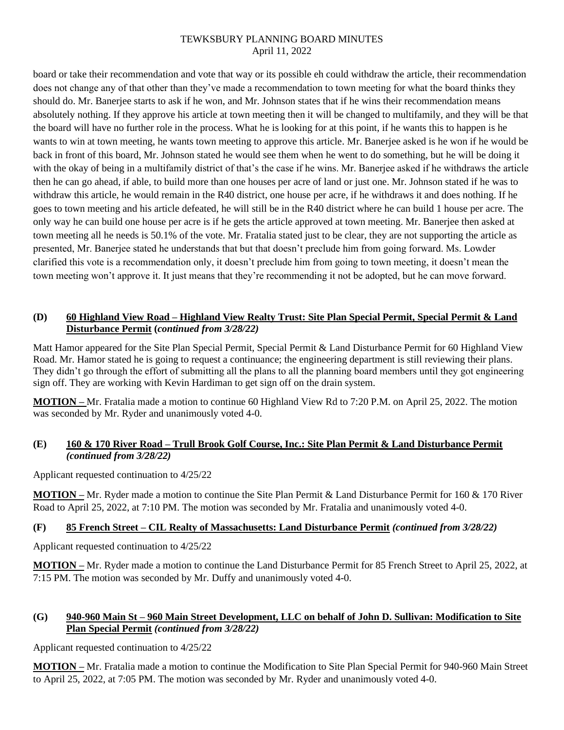board or take their recommendation and vote that way or its possible eh could withdraw the article, their recommendation does not change any of that other than they've made a recommendation to town meeting for what the board thinks they should do. Mr. Banerjee starts to ask if he won, and Mr. Johnson states that if he wins their recommendation means absolutely nothing. If they approve his article at town meeting then it will be changed to multifamily, and they will be that the board will have no further role in the process. What he is looking for at this point, if he wants this to happen is he wants to win at town meeting, he wants town meeting to approve this article. Mr. Banerjee asked is he won if he would be back in front of this board, Mr. Johnson stated he would see them when he went to do something, but he will be doing it with the okay of being in a multifamily district of that's the case if he wins. Mr. Banerjee asked if he withdraws the article then he can go ahead, if able, to build more than one houses per acre of land or just one. Mr. Johnson stated if he was to withdraw this article, he would remain in the R40 district, one house per acre, if he withdraws it and does nothing. If he goes to town meeting and his article defeated, he will still be in the R40 district where he can build 1 house per acre. The only way he can build one house per acre is if he gets the article approved at town meeting. Mr. Banerjee then asked at town meeting all he needs is 50.1% of the vote. Mr. Fratalia stated just to be clear, they are not supporting the article as presented, Mr. Banerjee stated he understands that but that doesn't preclude him from going forward. Ms. Lowder clarified this vote is a recommendation only, it doesn't preclude him from going to town meeting, it doesn't mean the town meeting won't approve it. It just means that they're recommending it not be adopted, but he can move forward.

## **(D) 60 Highland View Road – Highland View Realty Trust: Site Plan Special Permit, Special Permit & Land Disturbance Permit (***continued from 3/28/22)*

Matt Hamor appeared for the Site Plan Special Permit, Special Permit & Land Disturbance Permit for 60 Highland View Road. Mr. Hamor stated he is going to request a continuance; the engineering department is still reviewing their plans. They didn't go through the effort of submitting all the plans to all the planning board members until they got engineering sign off. They are working with Kevin Hardiman to get sign off on the drain system.

**MOTION –** Mr. Fratalia made a motion to continue 60 Highland View Rd to 7:20 P.M. on April 25, 2022. The motion was seconded by Mr. Ryder and unanimously voted 4-0.

## **(E) 160 & 170 River Road – Trull Brook Golf Course, Inc.: Site Plan Permit & Land Disturbance Permit** *(continued from 3/28/22)*

Applicant requested continuation to 4/25/22

**MOTION –** Mr. Ryder made a motion to continue the Site Plan Permit & Land Disturbance Permit for 160 & 170 River Road to April 25, 2022, at 7:10 PM. The motion was seconded by Mr. Fratalia and unanimously voted 4-0.

# **(F) 85 French Street – CIL Realty of Massachusetts: Land Disturbance Permit** *(continued from 3/28/22)*

Applicant requested continuation to 4/25/22

**MOTION –** Mr. Ryder made a motion to continue the Land Disturbance Permit for 85 French Street to April 25, 2022, at 7:15 PM. The motion was seconded by Mr. Duffy and unanimously voted 4-0.

# **(G) 940-960 Main St – 960 Main Street Development, LLC on behalf of John D. Sullivan: Modification to Site Plan Special Permit** *(continued from 3/28/22)*

Applicant requested continuation to 4/25/22

**MOTION –** Mr. Fratalia made a motion to continue the Modification to Site Plan Special Permit for 940-960 Main Street to April 25, 2022, at 7:05 PM. The motion was seconded by Mr. Ryder and unanimously voted 4-0.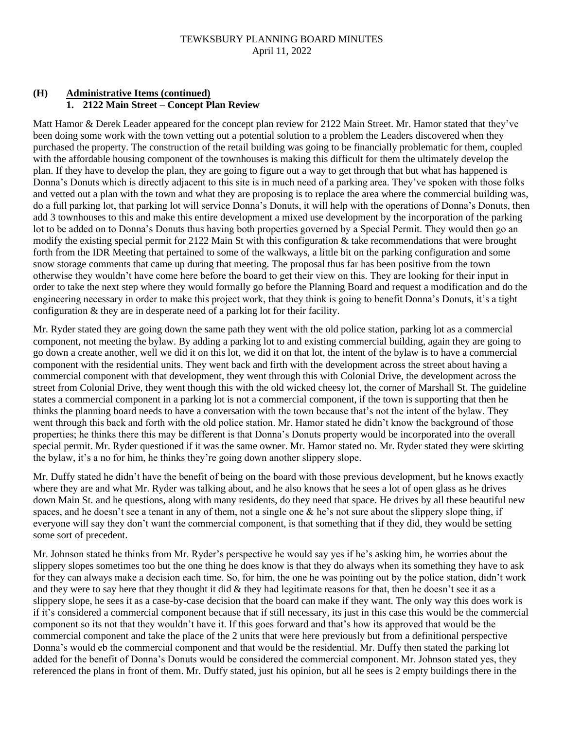# **(H) Administrative Items (continued) 1. 2122 Main Street – Concept Plan Review**

Matt Hamor & Derek Leader appeared for the concept plan review for 2122 Main Street. Mr. Hamor stated that they've been doing some work with the town vetting out a potential solution to a problem the Leaders discovered when they purchased the property. The construction of the retail building was going to be financially problematic for them, coupled with the affordable housing component of the townhouses is making this difficult for them the ultimately develop the plan. If they have to develop the plan, they are going to figure out a way to get through that but what has happened is Donna's Donuts which is directly adjacent to this site is in much need of a parking area. They've spoken with those folks and vetted out a plan with the town and what they are proposing is to replace the area where the commercial building was, do a full parking lot, that parking lot will service Donna's Donuts, it will help with the operations of Donna's Donuts, then add 3 townhouses to this and make this entire development a mixed use development by the incorporation of the parking lot to be added on to Donna's Donuts thus having both properties governed by a Special Permit. They would then go an modify the existing special permit for 2122 Main St with this configuration & take recommendations that were brought forth from the IDR Meeting that pertained to some of the walkways, a little bit on the parking configuration and some snow storage comments that came up during that meeting. The proposal thus far has been positive from the town otherwise they wouldn't have come here before the board to get their view on this. They are looking for their input in order to take the next step where they would formally go before the Planning Board and request a modification and do the engineering necessary in order to make this project work, that they think is going to benefit Donna's Donuts, it's a tight configuration & they are in desperate need of a parking lot for their facility.

Mr. Ryder stated they are going down the same path they went with the old police station, parking lot as a commercial component, not meeting the bylaw. By adding a parking lot to and existing commercial building, again they are going to go down a create another, well we did it on this lot, we did it on that lot, the intent of the bylaw is to have a commercial component with the residential units. They went back and firth with the development across the street about having a commercial component with that development, they went through this with Colonial Drive, the development across the street from Colonial Drive, they went though this with the old wicked cheesy lot, the corner of Marshall St. The guideline states a commercial component in a parking lot is not a commercial component, if the town is supporting that then he thinks the planning board needs to have a conversation with the town because that's not the intent of the bylaw. They went through this back and forth with the old police station. Mr. Hamor stated he didn't know the background of those properties; he thinks there this may be different is that Donna's Donuts property would be incorporated into the overall special permit. Mr. Ryder questioned if it was the same owner. Mr. Hamor stated no. Mr. Ryder stated they were skirting the bylaw, it's a no for him, he thinks they're going down another slippery slope.

Mr. Duffy stated he didn't have the benefit of being on the board with those previous development, but he knows exactly where they are and what Mr. Ryder was talking about, and he also knows that he sees a lot of open glass as he drives down Main St. and he questions, along with many residents, do they need that space. He drives by all these beautiful new spaces, and he doesn't see a tenant in any of them, not a single one & he's not sure about the slippery slope thing, if everyone will say they don't want the commercial component, is that something that if they did, they would be setting some sort of precedent.

Mr. Johnson stated he thinks from Mr. Ryder's perspective he would say yes if he's asking him, he worries about the slippery slopes sometimes too but the one thing he does know is that they do always when its something they have to ask for they can always make a decision each time. So, for him, the one he was pointing out by the police station, didn't work and they were to say here that they thought it did  $&$  they had legitimate reasons for that, then he doesn't see it as a slippery slope, he sees it as a case-by-case decision that the board can make if they want. The only way this does work is if it's considered a commercial component because that if still necessary, its just in this case this would be the commercial component so its not that they wouldn't have it. If this goes forward and that's how its approved that would be the commercial component and take the place of the 2 units that were here previously but from a definitional perspective Donna's would eb the commercial component and that would be the residential. Mr. Duffy then stated the parking lot added for the benefit of Donna's Donuts would be considered the commercial component. Mr. Johnson stated yes, they referenced the plans in front of them. Mr. Duffy stated, just his opinion, but all he sees is 2 empty buildings there in the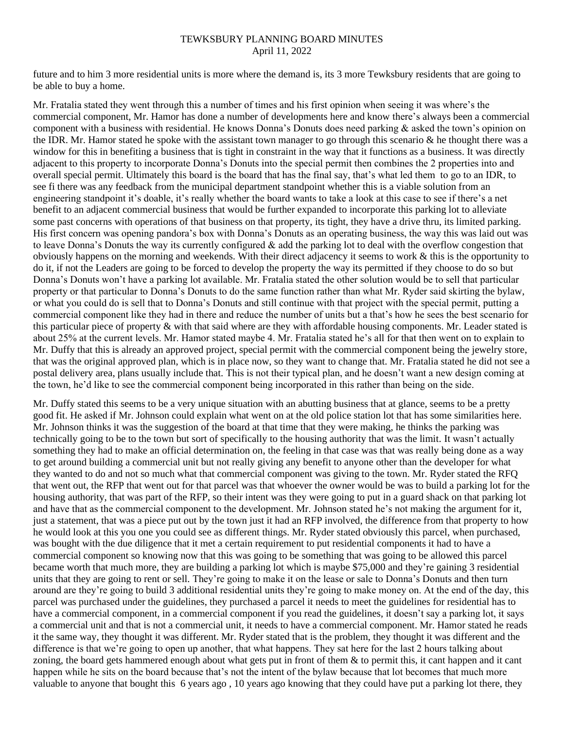future and to him 3 more residential units is more where the demand is, its 3 more Tewksbury residents that are going to be able to buy a home.

Mr. Fratalia stated they went through this a number of times and his first opinion when seeing it was where's the commercial component, Mr. Hamor has done a number of developments here and know there's always been a commercial component with a business with residential. He knows Donna's Donuts does need parking & asked the town's opinion on the IDR. Mr. Hamor stated he spoke with the assistant town manager to go through this scenario  $\&$  he thought there was a window for this in benefiting a business that is tight in constraint in the way that it functions as a business. It was directly adjacent to this property to incorporate Donna's Donuts into the special permit then combines the 2 properties into and overall special permit. Ultimately this board is the board that has the final say, that's what led them to go to an IDR, to see fi there was any feedback from the municipal department standpoint whether this is a viable solution from an engineering standpoint it's doable, it's really whether the board wants to take a look at this case to see if there's a net benefit to an adjacent commercial business that would be further expanded to incorporate this parking lot to alleviate some past concerns with operations of that business on that property, its tight, they have a drive thru, its limited parking. His first concern was opening pandora's box with Donna's Donuts as an operating business, the way this was laid out was to leave Donna's Donuts the way its currently configured  $\&$  add the parking lot to deal with the overflow congestion that obviously happens on the morning and weekends. With their direct adjacency it seems to work  $\&$  this is the opportunity to do it, if not the Leaders are going to be forced to develop the property the way its permitted if they choose to do so but Donna's Donuts won't have a parking lot available. Mr. Fratalia stated the other solution would be to sell that particular property or that particular to Donna's Donuts to do the same function rather than what Mr. Ryder said skirting the bylaw, or what you could do is sell that to Donna's Donuts and still continue with that project with the special permit, putting a commercial component like they had in there and reduce the number of units but a that's how he sees the best scenario for this particular piece of property & with that said where are they with affordable housing components. Mr. Leader stated is about 25% at the current levels. Mr. Hamor stated maybe 4. Mr. Fratalia stated he's all for that then went on to explain to Mr. Duffy that this is already an approved project, special permit with the commercial component being the jewelry store, that was the original approved plan, which is in place now, so they want to change that. Mr. Fratalia stated he did not see a postal delivery area, plans usually include that. This is not their typical plan, and he doesn't want a new design coming at the town, he'd like to see the commercial component being incorporated in this rather than being on the side.

Mr. Duffy stated this seems to be a very unique situation with an abutting business that at glance, seems to be a pretty good fit. He asked if Mr. Johnson could explain what went on at the old police station lot that has some similarities here. Mr. Johnson thinks it was the suggestion of the board at that time that they were making, he thinks the parking was technically going to be to the town but sort of specifically to the housing authority that was the limit. It wasn't actually something they had to make an official determination on, the feeling in that case was that was really being done as a way to get around building a commercial unit but not really giving any benefit to anyone other than the developer for what they wanted to do and not so much what that commercial component was giving to the town. Mr. Ryder stated the RFQ that went out, the RFP that went out for that parcel was that whoever the owner would be was to build a parking lot for the housing authority, that was part of the RFP, so their intent was they were going to put in a guard shack on that parking lot and have that as the commercial component to the development. Mr. Johnson stated he's not making the argument for it, just a statement, that was a piece put out by the town just it had an RFP involved, the difference from that property to how he would look at this you one you could see as different things. Mr. Ryder stated obviously this parcel, when purchased, was bought with the due diligence that it met a certain requirement to put residential components it had to have a commercial component so knowing now that this was going to be something that was going to be allowed this parcel became worth that much more, they are building a parking lot which is maybe \$75,000 and they're gaining 3 residential units that they are going to rent or sell. They're going to make it on the lease or sale to Donna's Donuts and then turn around are they're going to build 3 additional residential units they're going to make money on. At the end of the day, this parcel was purchased under the guidelines, they purchased a parcel it needs to meet the guidelines for residential has to have a commercial component, in a commercial component if you read the guidelines, it doesn't say a parking lot, it says a commercial unit and that is not a commercial unit, it needs to have a commercial component. Mr. Hamor stated he reads it the same way, they thought it was different. Mr. Ryder stated that is the problem, they thought it was different and the difference is that we're going to open up another, that what happens. They sat here for the last 2 hours talking about zoning, the board gets hammered enough about what gets put in front of them  $\&$  to permit this, it cant happen and it cant happen while he sits on the board because that's not the intent of the bylaw because that lot becomes that much more valuable to anyone that bought this 6 years ago , 10 years ago knowing that they could have put a parking lot there, they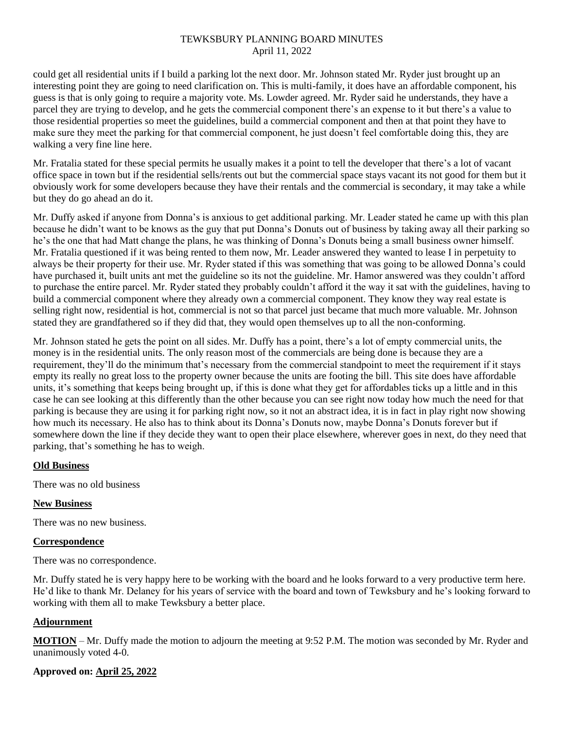could get all residential units if I build a parking lot the next door. Mr. Johnson stated Mr. Ryder just brought up an interesting point they are going to need clarification on. This is multi-family, it does have an affordable component, his guess is that is only going to require a majority vote. Ms. Lowder agreed. Mr. Ryder said he understands, they have a parcel they are trying to develop, and he gets the commercial component there's an expense to it but there's a value to those residential properties so meet the guidelines, build a commercial component and then at that point they have to make sure they meet the parking for that commercial component, he just doesn't feel comfortable doing this, they are walking a very fine line here.

Mr. Fratalia stated for these special permits he usually makes it a point to tell the developer that there's a lot of vacant office space in town but if the residential sells/rents out but the commercial space stays vacant its not good for them but it obviously work for some developers because they have their rentals and the commercial is secondary, it may take a while but they do go ahead an do it.

Mr. Duffy asked if anyone from Donna's is anxious to get additional parking. Mr. Leader stated he came up with this plan because he didn't want to be knows as the guy that put Donna's Donuts out of business by taking away all their parking so he's the one that had Matt change the plans, he was thinking of Donna's Donuts being a small business owner himself. Mr. Fratalia questioned if it was being rented to them now, Mr. Leader answered they wanted to lease I in perpetuity to always be their property for their use. Mr. Ryder stated if this was something that was going to be allowed Donna's could have purchased it, built units ant met the guideline so its not the guideline. Mr. Hamor answered was they couldn't afford to purchase the entire parcel. Mr. Ryder stated they probably couldn't afford it the way it sat with the guidelines, having to build a commercial component where they already own a commercial component. They know they way real estate is selling right now, residential is hot, commercial is not so that parcel just became that much more valuable. Mr. Johnson stated they are grandfathered so if they did that, they would open themselves up to all the non-conforming.

Mr. Johnson stated he gets the point on all sides. Mr. Duffy has a point, there's a lot of empty commercial units, the money is in the residential units. The only reason most of the commercials are being done is because they are a requirement, they'll do the minimum that's necessary from the commercial standpoint to meet the requirement if it stays empty its really no great loss to the property owner because the units are footing the bill. This site does have affordable units, it's something that keeps being brought up, if this is done what they get for affordables ticks up a little and in this case he can see looking at this differently than the other because you can see right now today how much the need for that parking is because they are using it for parking right now, so it not an abstract idea, it is in fact in play right now showing how much its necessary. He also has to think about its Donna's Donuts now, maybe Donna's Donuts forever but if somewhere down the line if they decide they want to open their place elsewhere, wherever goes in next, do they need that parking, that's something he has to weigh.

## **Old Business**

There was no old business

## **New Business**

There was no new business.

## **Correspondence**

There was no correspondence.

Mr. Duffy stated he is very happy here to be working with the board and he looks forward to a very productive term here. He'd like to thank Mr. Delaney for his years of service with the board and town of Tewksbury and he's looking forward to working with them all to make Tewksbury a better place.

## **Adjournment**

**MOTION** – Mr. Duffy made the motion to adjourn the meeting at 9:52 P.M. The motion was seconded by Mr. Ryder and unanimously voted 4-0.

# **Approved on: April 25, 2022**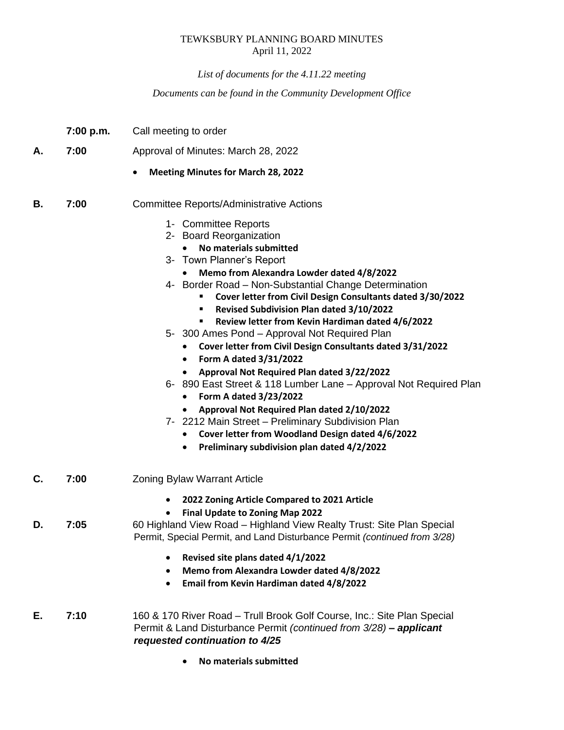*List of documents for the 4.11.22 meeting*

*Documents can be found in the Community Development Office*

|    | 7:00 p.m. | Call meeting to order                                                                                                                                                                                                                                                                                                                                                                                                                                                                                                                                                                                                                                                                                                                                                                                                                                                                 |
|----|-----------|---------------------------------------------------------------------------------------------------------------------------------------------------------------------------------------------------------------------------------------------------------------------------------------------------------------------------------------------------------------------------------------------------------------------------------------------------------------------------------------------------------------------------------------------------------------------------------------------------------------------------------------------------------------------------------------------------------------------------------------------------------------------------------------------------------------------------------------------------------------------------------------|
| Α. | 7:00      | Approval of Minutes: March 28, 2022                                                                                                                                                                                                                                                                                                                                                                                                                                                                                                                                                                                                                                                                                                                                                                                                                                                   |
|    |           | <b>Meeting Minutes for March 28, 2022</b>                                                                                                                                                                                                                                                                                                                                                                                                                                                                                                                                                                                                                                                                                                                                                                                                                                             |
| В. | 7:00      | <b>Committee Reports/Administrative Actions</b>                                                                                                                                                                                                                                                                                                                                                                                                                                                                                                                                                                                                                                                                                                                                                                                                                                       |
|    |           | 1- Committee Reports<br>2- Board Reorganization<br>No materials submitted<br>3- Town Planner's Report<br>Memo from Alexandra Lowder dated 4/8/2022<br>4- Border Road - Non-Substantial Change Determination<br>Cover letter from Civil Design Consultants dated 3/30/2022<br>٠<br>Revised Subdivision Plan dated 3/10/2022<br>٠<br>Review letter from Kevin Hardiman dated 4/6/2022<br>5- 300 Ames Pond - Approval Not Required Plan<br>Cover letter from Civil Design Consultants dated 3/31/2022<br>Form A dated 3/31/2022<br>٠<br>Approval Not Required Plan dated 3/22/2022<br>6- 890 East Street & 118 Lumber Lane - Approval Not Required Plan<br>Form A dated 3/23/2022<br>Approval Not Required Plan dated 2/10/2022<br>7- 2212 Main Street - Preliminary Subdivision Plan<br>Cover letter from Woodland Design dated 4/6/2022<br>Preliminary subdivision plan dated 4/2/2022 |
| C. | 7:00      | <b>Zoning Bylaw Warrant Article</b>                                                                                                                                                                                                                                                                                                                                                                                                                                                                                                                                                                                                                                                                                                                                                                                                                                                   |
| D. | 7:05      | 2022 Zoning Article Compared to 2021 Article<br>٠<br>Final Update to Zoning Map 2022<br>60 Highland View Road - Highland View Realty Trust: Site Plan Special<br>Permit, Special Permit, and Land Disturbance Permit (continued from 3/28)                                                                                                                                                                                                                                                                                                                                                                                                                                                                                                                                                                                                                                            |
|    |           | Revised site plans dated 4/1/2022<br>$\bullet$<br>Memo from Alexandra Lowder dated 4/8/2022<br>٠<br>Email from Kevin Hardiman dated 4/8/2022<br>$\bullet$                                                                                                                                                                                                                                                                                                                                                                                                                                                                                                                                                                                                                                                                                                                             |
| Е. | 7:10      | 160 & 170 River Road - Trull Brook Golf Course, Inc.: Site Plan Special<br>Permit & Land Disturbance Permit (continued from 3/28) - applicant<br>requested continuation to 4/25                                                                                                                                                                                                                                                                                                                                                                                                                                                                                                                                                                                                                                                                                                       |

• **No materials submitted**